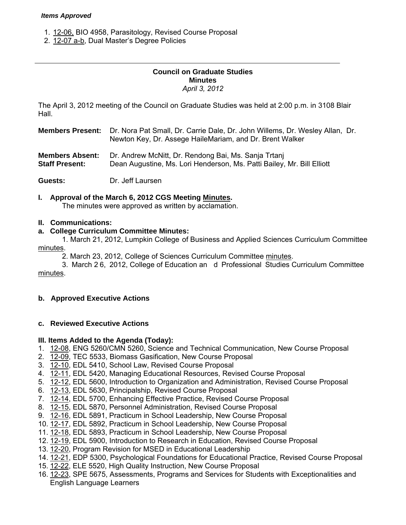#### *Items Approved*

- 1. [12-06, B](http://castle.eiu.edu/~eiucgs/currentagendaitems/agenda12-06.pdf)IO 4958, Parasitology, Revised Course Proposal
- 2. [12-07 a-b,](http://castle.eiu.edu/~eiucgs/currentagendaitems/agenda12-07.pdf) Dual Master's Degree Policies

## **Council on Graduate Studies Minutes**  *April 3, 2012*

The April 3, 2012 meeting of the Council on Graduate Studies was held at 2:00 p.m. in 3108 Blair Hall.

**Members Present:** Dr. Nora Pat Small, Dr. Carrie Dale, Dr. John Willems, Dr. Wesley Allan, Dr. Newton Key, Dr. Assege HaileMariam, and Dr. Brent Walker

**Members Absent:** Dr. Andrew McNitt, Dr. Rendong Bai, Ms. Sanja Trtanj

Dean Augustine, Ms. Lori Henderson, Ms. Patti Bailey, Mr. Bill Elliott

**Guests:** Dr. Jeff Laursen

# **I. Approval of the March 6, 2012 CGS Meeti[ng Minutes.](http://castle.eiu.edu/eiucgs/currentminutes/Minutes3-6-12.pdf)**

The minutes were approved as written by acclamation.

## **II. Communications:**

## **a. College Curriculum Committee Minutes:**

 1. March 21, 2012, Lumpkin College of Business and Applied Sciences Curriculum Committee [minutes.](http://castle.eiu.edu/~eiucgs/currentagendaitems/LCBASMin3-21-12.pdf) 

2. March 23, 2012, College of Sciences Curriculum Committe[e minutes.](http://castle.eiu.edu/~eiucgs/currentagendaitems/COSMin3-23-12.pdf) 

 3. March 2 6, 2012, College of Education an d Professional Studies Curriculum Committee [minutes.](http://castle.eiu.edu/~eiucgs/currentagendaitems/CEPSMin3-26-12.pdf) 

# **b. Approved Executive Actions**

#### **c. Reviewed Executive Actions**

#### **III. Items Added to the Agenda (Today):**

- 1. [12-08, E](http://castle.eiu.edu/~eiucgs/currentagendaitems/agenda12-08.pdf)NG 5260/CMN 5260, Science and Technical Communication, New Course Proposal
- 2. [12-09, TE](http://castle.eiu.edu/~eiucgs/currentagendaitems/agenda12-09.pdf)C 5533, Biomass Gasification, New Course Proposal
- 3. [12-10, E](http://castle.eiu.edu/~eiucgs/currentagendaitems/agenda12-10.pdf)DL 5410, School Law, Revised Course Proposal
- 4. [12-11,](http://castle.eiu.edu/~eiucgs/currentagendaitems/agenda12-11.pdf) EDL 5420, Managing Educational Resources, Revised Course Proposal
- 5. [12-12, E](http://castle.eiu.edu/~eiucgs/currentagendaitems/agenda12-12.pdf)DL 5600, Introduction to Organization and Administration, Revised Course Proposal
- 6. [12-13, E](http://castle.eiu.edu/~eiucgs/currentagendaitems/agenda12-13.pdf)DL 5630, Principalship, Revised Course Proposal
- 7. [12-14, ED](http://castle.eiu.edu/~eiucgs/currentagendaitems/agenda12-14.pdf)L 5700, Enhancing Effective Practice, Revised Course Proposal
- 8. [12-15, E](http://castle.eiu.edu/~eiucgs/currentagendaitems/agenda12-15.pdf)DL 5870, Personnel Administration, Revised Course Proposal
- 9. [12-16,](http://castle.eiu.edu/~eiucgs/currentagendaitems/agenda12-16.pdf) EDL 5891, Practicum in School Leadership, New Course Proposal
- 10. [12-17, E](http://castle.eiu.edu/~eiucgs/currentagendaitems/agenda12-17.pdf)DL 5892, Practicum in School Leadership, New Course Proposal
- 11. [12-18, E](http://castle.eiu.edu/~eiucgs/currentagendaitems/agenda12-18.pdf)DL 5893, Practicum in School Leadership, New Course Proposal
- 12. [12-19,](http://castle.eiu.edu/~eiucgs/currentagendaitems/agenda12-19.pdf) EDL 5900, Introduction to Research in Education, Revised Course Proposal
- 13. [12-20, P](http://castle.eiu.edu/~eiucgs/currentagendaitems/agenda12-20.pdf)rogram Revision for MSED in Educational Leadership
- 14. [12-21, E](http://castle.eiu.edu/~eiucgs/currentagendaitems/agenda12-21.pdf)DP 5300, Psychological Foundations for Educational Practice, Revised Course Proposal
- 15. [12-22, E](http://castle.eiu.edu/~eiucgs/currentagendaitems/agenda12-22.pdf)LE 5520, High Quality Instruction, New Course Proposal
- 16[. 12-23, S](http://castle.eiu.edu/~eiucgs/currentagendaitems/agenda12-23.pdf)PE 5675, Assessments, Programs and Services for Students with Exceptionalities and English Language Learners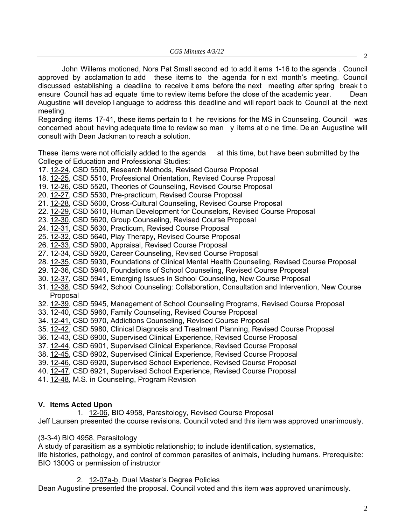John Willems motioned, Nora Pat Small second ed to add it ems 1-16 to the agenda . Council approved by acclamation to add these items to the agenda for n ext month's meeting. Council discussed establishing a deadline to receive it ems before the next meeting after spring break t o ensure Council has ad equate time to review items before the close of the academic year. Dean Augustine will develop l anguage to address this deadline and will report back to Council at the next meeting.

Regarding items 17-41, these items pertain to t he revisions for the MS in Counseling. Council was concerned about having adequate time to review so man y items at o ne time. De an Augustine will consult with Dean Jackman to reach a solution.

These items were not officially added to the agenda at this time, but have been submitted by the College of Education and Professional Studies:

- 17. [12-24, C](http://castle.eiu.edu/~eiucgs/currentagendaitems/agenda12-24.pdf)SD 5500, Research Methods, Revised Course Proposal
- 18. [12-25, C](http://castle.eiu.edu/~eiucgs/currentagendaitems/agenda12-25.pdf)SD 5510, Professional Orientation, Revised Course Proposal
- 19. [12-26, C](http://castle.eiu.edu/~eiucgs/currentagendaitems/agenda12-26.pdf)SD 5520, Theories of Counseling, Revised Course Proposal
- 20. [12-27, C](http://castle.eiu.edu/~eiucgs/currentagendaitems/agenda12-27.pdf)SD 5530, Pre-practicum, Revised Course Proposal
- 21. [12-28, CS](http://castle.eiu.edu/~eiucgs/currentagendaitems/agenda12-28.pdf)D 5600, Cross-Cultural Counseling, Revised Course Proposal
- 22. [12-29, C](http://castle.eiu.edu/~eiucgs/currentagendaitems/agenda12-29.pdf)SD 5610, Human Development for Counselors, Revised Course Proposal
- 23. [12-30, C](http://castle.eiu.edu/~eiucgs/currentagendaitems/agenda12-30.pdf)SD 5620, Group Counseling, Revised Course Proposal
- 24. [12-31,](http://castle.eiu.edu/~eiucgs/currentagendaitems/agenda12-31.pdf) CSD 5630, Practicum, Revised Course Proposal
- 25. [12-32](http://castle.eiu.edu/~eiucgs/currentagendaitems/agenda12-32.pdf), CSD 5640, Play Therapy, Revised Course Proposal
- 26. [12-33,](http://castle.eiu.edu/~eiucgs/currentagendaitems/agenda12-33.pdf) CSD 5900, Appraisal, Revised Course Proposal
- 27. [12-34,](http://castle.eiu.edu/~eiucgs/currentagendaitems/agenda12-34.pdf) CSD 5920, Career Counseling, Revised Course Proposal
- 28. [12-35,](http://castle.eiu.edu/~eiucgs/currentagendaitems/agenda12-35.pdf) CSD 5930, Foundations of Clinical Mental Health Counseling, Revised Course Proposal
- 29. [12-36, C](http://castle.eiu.edu/~eiucgs/currentagendaitems/agenda12-36.pdf)SD 5940, Foundations of School Counseling, Revised Course Proposal
- 30. [12-37, CS](http://castle.eiu.edu/~eiucgs/currentagendaitems/agenda12-37.pdf)D 5941, Emerging Issues in School Counseling, New Course Proposal
- 31. [12-38, C](http://castle.eiu.edu/~eiucgs/currentagendaitems/agenda12-38.pdf)SD 5942, School Counseling: Collaboration, Consultation and Intervention, New Course Proposal
- 32[. 12-39,](http://castle.eiu.edu/~eiucgs/currentagendaitems/agenda12-39.pdf) CSD 5945, Management of School Counseling Programs, Revised Course Proposal
- 33[. 12-40, CS](http://castle.eiu.edu/~eiucgs/currentagendaitems/agenda12-40.pdf)D 5960, Family Counseling, Revised Course Proposal
- 34. [12-41, C](http://castle.eiu.edu/~eiucgs/currentagendaitems/agenda12-41.pdf)SD 5970, Addictions Counseling, Revised Course Proposal
- 35. [12-42, C](http://castle.eiu.edu/~eiucgs/currentagendaitems/agenda12-42.pdf)SD 5980, Clinical Diagnosis and Treatment Planning, Revised Course Proposal
- 36. [12-43,](http://castle.eiu.edu/~eiucgs/currentagendaitems/agenda12-43.pdf) CSD 6900, Supervised Clinical Experience, Revised Course Proposal
- 37. [12-44, C](http://castle.eiu.edu/~eiucgs/currentagendaitems/agenda12-44.pdf)SD 6901, Supervised Clinical Experience, Revised Course Proposal
- 38. [12-45, C](http://castle.eiu.edu/~eiucgs/currentagendaitems/agenda12-45.pdf)SD 6902, Supervised Clinical Experience, Revised Course Proposal
- 39. [12-46, C](http://castle.eiu.edu/~eiucgs/currentagendaitems/agenda12-46.pdf)SD 6920, Supervised School Experience, Revised Course Proposal
- 40. [12-47, C](http://castle.eiu.edu/~eiucgs/currentagendaitems/agenda12-47.pdf)SD 6921, Supervised School Experience, Revised Course Proposal
- 41. [12-48,](http://castle.eiu.edu/~eiucgs/currentagendaitems/agenda12-48.pdf) M.S. in Counseling, Program Revision

# **V. Items Acted Upon**

1. [12-06, B](http://castle.eiu.edu/~eiucgs/currentagendaitems/agenda12-06.pdf)IO 4958, Parasitology, Revised Course Proposal

Jeff Laursen presented the course revisions. Council voted and this item was approved unanimously.

# (3-3-4) BIO 4958, Parasitology

A study of parasitism as a symbiotic relationship; to include identification, systematics,

life histories, pathology, and control of common parasites of animals, including humans. Prerequisite: BIO 1300G or permission of instructor

2. [12-07a-b,](http://castle.eiu.edu/~eiucgs/currentagendaitems/agenda12-07.pdf) Dual Master's Degree Policies

Dean Augustine presented the proposal. Council voted and this item was approved unanimously.

2